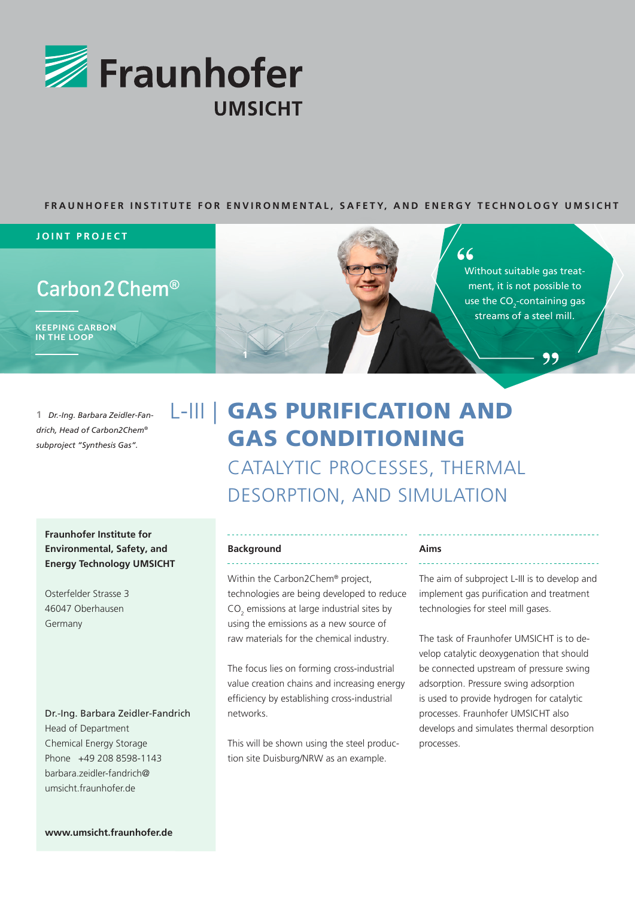

#### **FRAUNHOFER INSTITUTE FOR ENVIRONMENTAL, SAFETY, AND ENERGY TECHNOLOGY UMSICHT**

#### **JOINT PROJECT**

# $\mathsf{Carbon2Chem}^\circledR$

KEEPING CARBON IN THE LOOP

1 *Dr.-Ing. Barbara Zeidler-Fan-*<br>drich, Head of Carbon2Chem®<br>subproject "Synthesis Gas". *drich, Head of Carbon2Chem® subproject "Synthesis Gas".*

# L-III | GAS PURIFICATION AND GAS CONDITIONING CATALYTIC PROCESSES, THERMAL DESORPTION, AND SIMULATION

## **Fraunhofer Institute for Environmental, Safety, and Energy Technology UMSICHT**

Osterfelder Strasse 3 46047 Oberhausen Germany

#### Dr.-Ing. Barbara Zeidler-Fandrich

Head of Department Chemical Energy Storage Phone +49 208 8598-1143 barbara.zeidler-fandrich@ umsicht.fraunhofer.de

#### **Background** <u>. . . . . . . . . . . . .</u>

**1**

Within the Carbon2Chem® project, technologies are being developed to reduce  $CO<sub>2</sub>$  emissions at large industrial sites by using the emissions as a new source of raw materials for the chemical industry.

The focus lies on forming cross-industrial value creation chains and increasing energy efficiency by establishing cross-industrial networks.

This will be shown using the steel production site Duisburg/NRW as an example.

#### **Aims**

The aim of subproject L-III is to develop and implement gas purification and treatment technologies for steel mill gases.

Without suitable gas treatment, it is not possible to use the  $CO_2$ -containing gas streams of a steel mill.

66

The task of Fraunhofer UMSICHT is to develop catalytic deoxygenation that should be connected upstream of pressure swing adsorption. Pressure swing adsorption is used to provide hydrogen for catalytic processes. Fraunhofer UMSICHT also develops and simulates thermal desorption processes.

**www.umsicht.fraunhofer.de**